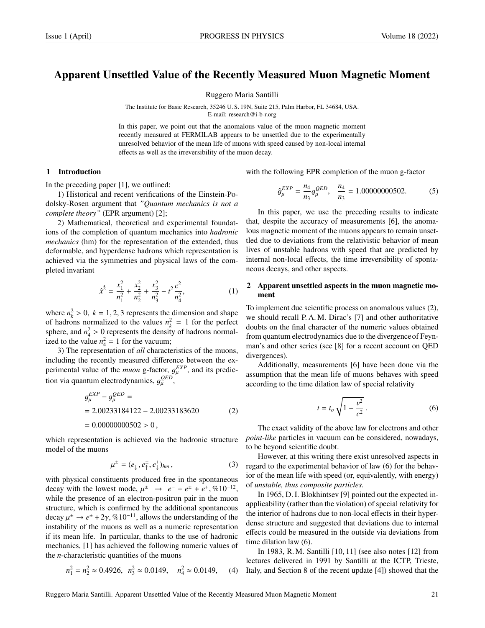# Apparent Unsettled Value of the Recently Measured Muon Magnetic Moment

Ruggero Maria Santilli

The Institute for Basic Research, 35246 U. S. 19N, Suite 215, Palm Harbor, FL 34684, USA. E-mail: research@i-b-r.org

In this paper, we point out that the anomalous value of the muon magnetic moment recently measured at FERMILAB appears to be unsettled due to the experimentally unresolved behavior of the mean life of muons with speed caused by non-local internal effects as well as the irreversibility of the muon decay.

### 1 Introduction

In the preceding paper [1], we outlined:

1) Historical and recent verifications of the Einstein-Podolsky-Rosen argument that *"Quantum mechanics is not a complete theory"* (EPR argument) [2];

2) Mathematical, theoretical and experimental foundations of the completion of quantum mechanics into *hadronic mechanics* (hm) for the representation of the extended, thus deformable, and hyperdense hadrons which representation is achieved via the symmetries and physical laws of the completed invariant

$$
\hat{x}^{\hat{2}} = \frac{x_1^2}{n_1^2} + \frac{x_2^2}{n_2^2} + \frac{x_3^2}{n_3^2} - t^2 \frac{c^2}{n_4^2},
$$
 (1)

where  $n_k^2 > 0$ ,  $k = 1, 2, 3$  represents the dimension and shape<br>of hadrons normalized to the values  $n^2 - 1$  for the perfect of hadrons normalized to the values  $n_k^2 = 1$  for the perfect sphere, and  $n_1^2 > 0$  represents the density of hadrons normal-<br>ized to the value  $n^2 - 1$  for the vacuum: ized to the value  $n_4^2 = 1$  for the vacuum;

3) The representation of *all* characteristics of the muons, including the recently measured difference between the experimental value of the *muon* g-factor,  $g_{\mu}^{EXP}$ , and its predicµ tion via quantum electrodynamics,  $g_{\mu}^{QED}$ ,

$$
g_{\mu}^{EXP} - g_{\mu}^{QED} =
$$
  
= 2.00233184122 - 2.00233183620 (2)  
= 0.00000000502 > 0,

which representation is achieved via the hadronic structure model of the muons

$$
\mu^{\pm} = (e_{\downarrow}^{\pm}, e_{\uparrow}^{\pm}, e_{\downarrow}^{\pm})_{hm}, \qquad (3)
$$

with physical constituents produced free in the spontaneous decay with the lowest mode,  $\mu^{\pm} \rightarrow e^{-} + e^{\pm} + e^{+}$ , %10<sup>-12</sup>, while the presence of an electron-positron pair in the muon while the presence of an electron-positron pair in the muon structure, which is confirmed by the additional spontaneous decay  $\mu^{\pm} \rightarrow e^{\pm} + 2\gamma$ , %10<sup>-11</sup>, allows the understanding of the instability of the muons as well as a numeric representation instability of the muons as well as a numeric representation if its mean life. In particular, thanks to the use of hadronic mechanics, [1] has achieved the following numeric values of the *n*-characteristic quantities of the muons

$$
n_1^2 = n_2^2 \approx 0.4926, \ \ n_3^2 \approx 0.0149, \ \ n_4^2 \approx 0.0149, \ \ (4)
$$

with the following EPR completion of the muon g-factor

$$
\hat{g}_{\mu}^{EXP} = \frac{n_4}{n_3} g_{\mu}^{QED}, \quad \frac{n_4}{n_3} = 1.00000000502. \tag{5}
$$

In this paper, we use the preceding results to indicate that, despite the accuracy of measurements [6], the anomalous magnetic moment of the muons appears to remain unsettled due to deviations from the relativistic behavior of mean lives of unstable hadrons with speed that are predicted by internal non-local effects, the time irreversibility of spontaneous decays, and other aspects.

### 2 Apparent unsettled aspects in the muon magnetic moment

To implement due scientific process on anomalous values (2), we should recall P. A. M. Dirac's [7] and other authoritative doubts on the final character of the numeric values obtained from quantum electrodynamics due to the divergenceof Feynman's and other series (see [8] for a recent account on QED divergences).

Additionally, measurements [6] have been done via the assumption that the mean life of muons behaves with speed according to the time dilation law of special relativity

$$
t = t_o \sqrt{1 - \frac{v^2}{c^2}}.
$$
 (6)

The exact validity of the above law for electrons and other *point-like* particles in vacuum can be considered, nowadays, to be beyond scientific doubt.

However, at this writing there exist unresolved aspects in regard to the experimental behavior of law (6) for the behavior of the mean life with speed (or, equivalently, with energy) of *unstable, thus composite particles.*

In 1965, D. I. Blokhintsev [9] pointed out the expected inapplicability (rather than the violation) of special relativity for the interior of hadrons due to non-local effects in their hyperdense structure and suggested that deviations due to internal effects could be measured in the outside via deviations from time dilation law (6).

In 1983, R. M. Santilli [10, 11] (see also notes [12] from lectures delivered in 1991 by Santilli at the ICTP, Trieste, Italy, and Section 8 of the recent update [4]) showed that the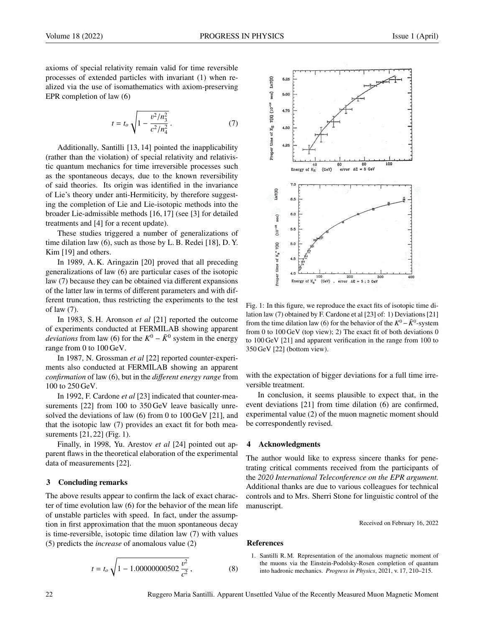axioms of special relativity remain valid for time reversible processes of extended particles with invariant (1) when realized via the use of isomathematics with axiom-preserving EPR completion of law (6)

$$
t = t_o \sqrt{1 - \frac{v^2/n_3^2}{c^2/n_4^2}}.
$$
 (7)

Additionally, Santilli [13, 14] pointed the inapplicability (rather than the violation) of special relativity and relativistic quantum mechanics for time irreversible processes such as the spontaneous decays, due to the known reversibility of said theories. Its origin was identified in the invariance of Lie's theory under anti-Hermiticity, by therefore suggesting the completion of Lie and Lie-isotopic methods into the broader Lie-admissible methods [16, 17] (see [3] for detailed treatments and [4] for a recent update).

These studies triggered a number of generalizations of time dilation law (6), such as those by L. B. Redei [18], D. Y. Kim [19] and others.

In 1989, A. K. Aringazin [20] proved that all preceding generalizations of law (6) are particular cases of the isotopic law (7) because they can be obtained via different expansions of the latter law in terms of different parameters and with different truncation, thus restricting the experiments to the test of law (7).

In 1983, S. H. Aronson *et al* [21] reported the outcome of experiments conducted at FERMILAB showing apparent *deviations* from law (6) for the  $K^0 - \bar{K}^0$  system in the energy range from 0 to 100 GeV.

In 1987, N. Grossman *et al* [22] reported counter-experiments also conducted at FERMILAB showing an apparent *confirmation* of law (6), but in the *di*ff*erent energy range* from 100 to 250 GeV.

In 1992, F. Cardone *et al* [23] indicated that counter-measurements [22] from 100 to 350 GeV leave basically unresolved the deviations of law (6) from 0 to 100 GeV [21], and that the isotopic law (7) provides an exact fit for both measurements [21, 22] (Fig. 1).

Finally, in 1998, Yu. Arestov *et al* [24] pointed out apparent flaws in the theoretical elaboration of the experimental data of measurements [22].

#### 3 Concluding remarks

The above results appear to confirm the lack of exact character of time evolution law (6) for the behavior of the mean life of unstable particles with speed. In fact, under the assumption in first approximation that the muon spontaneous decay is time-reversible, isotopic time dilation law (7) with values (5) predicts the *increase* of anomalous value (2)

$$
t = t_o \sqrt{1 - 1.00000000502 \frac{v^2}{c^2}},
$$
 (8)



Fig. 1: In this figure, we reproduce the exact fits of isotopic time dilation law (7) obtained by F. Cardone et al [23] of: 1) Deviations [21] from the time dilation law (6) for the behavior of the  $K^0 - \bar{K}^0$ -system from 0 to 100 GeV (top view); 2) The exact fit of both deviations 0 to 100 GeV [21] and apparent verification in the range from 100 to 350 GeV [22] (bottom view).

with the expectation of bigger deviations for a full time irreversible treatment.

In conclusion, it seems plausible to expect that, in the event deviations [21] from time dilation (6) are confirmed, experimental value (2) of the muon magnetic moment should be correspondently revised.

## 4 Acknowledgments

The author would like to express sincere thanks for penetrating critical comments received from the participants of the *2020 International Teleconference on the EPR argument.* Additional thanks are due to various colleagues for technical controls and to Mrs. Sherri Stone for linguistic control of the manuscript.

Received on February 16, 2022

#### References

1. Santilli R. M. Representation of the anomalous magnetic moment of the muons via the Einstein-Podolsky-Rosen completion of quantum into hadronic mechanics. *Progress in Physics*, 2021, v. 17, 210–215.